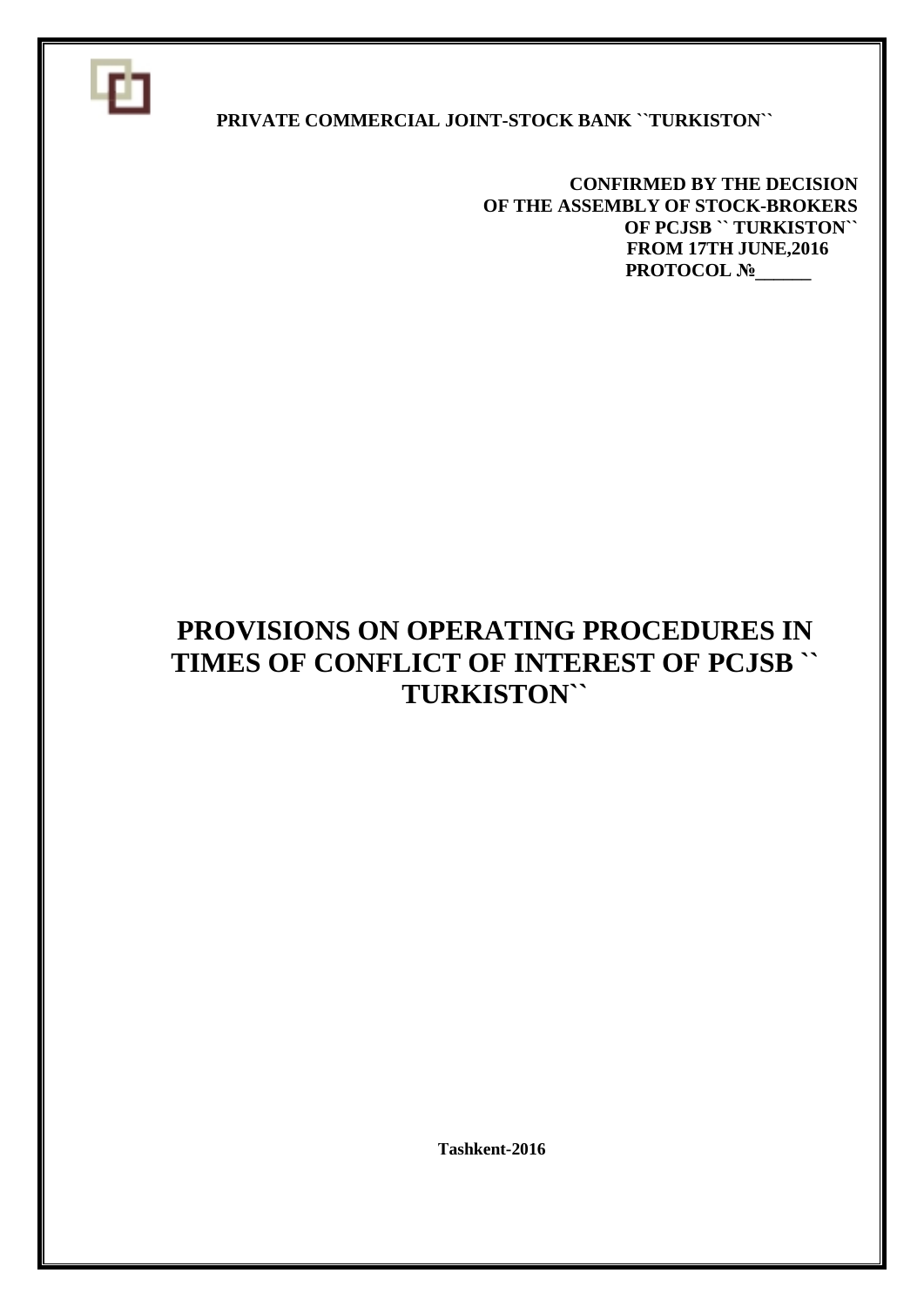

#### **PRIVATE COMMERCIAL JOINT-STOCK BANK ``TURKISTON``**

 **CONFIRMED BY THE DECISION OF THE ASSEMBLY OF STOCK-BROKERS OF PCJSB `` TURKISTON`` FROM 17TH JUNE,2016 PROTOCOL №\_\_\_\_\_** 

# **PROVISIONS ON OPERATING PROCEDURES IN TIMES OF CONFLICT OF INTEREST OF PCJSB `` TURKISTON``**

 **Тashkent-2016**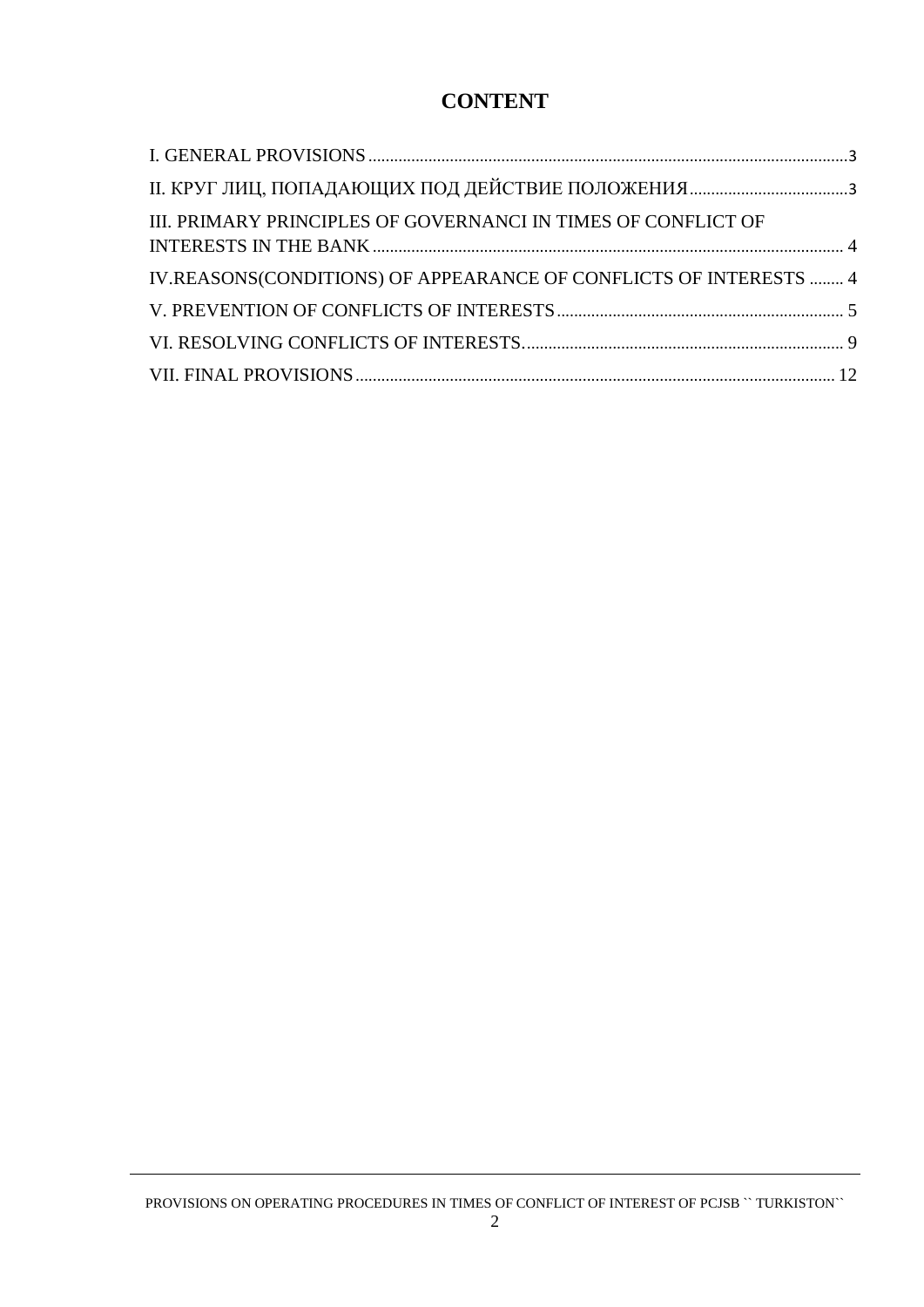## **CONTENT**

| III. PRIMARY PRINCIPLES OF GOVERNANCI IN TIMES OF CONFLICT OF     |  |
|-------------------------------------------------------------------|--|
| IV.REASONS(CONDITIONS) OF APPEARANCE OF CONFLICTS OF INTERESTS  4 |  |
|                                                                   |  |
|                                                                   |  |
|                                                                   |  |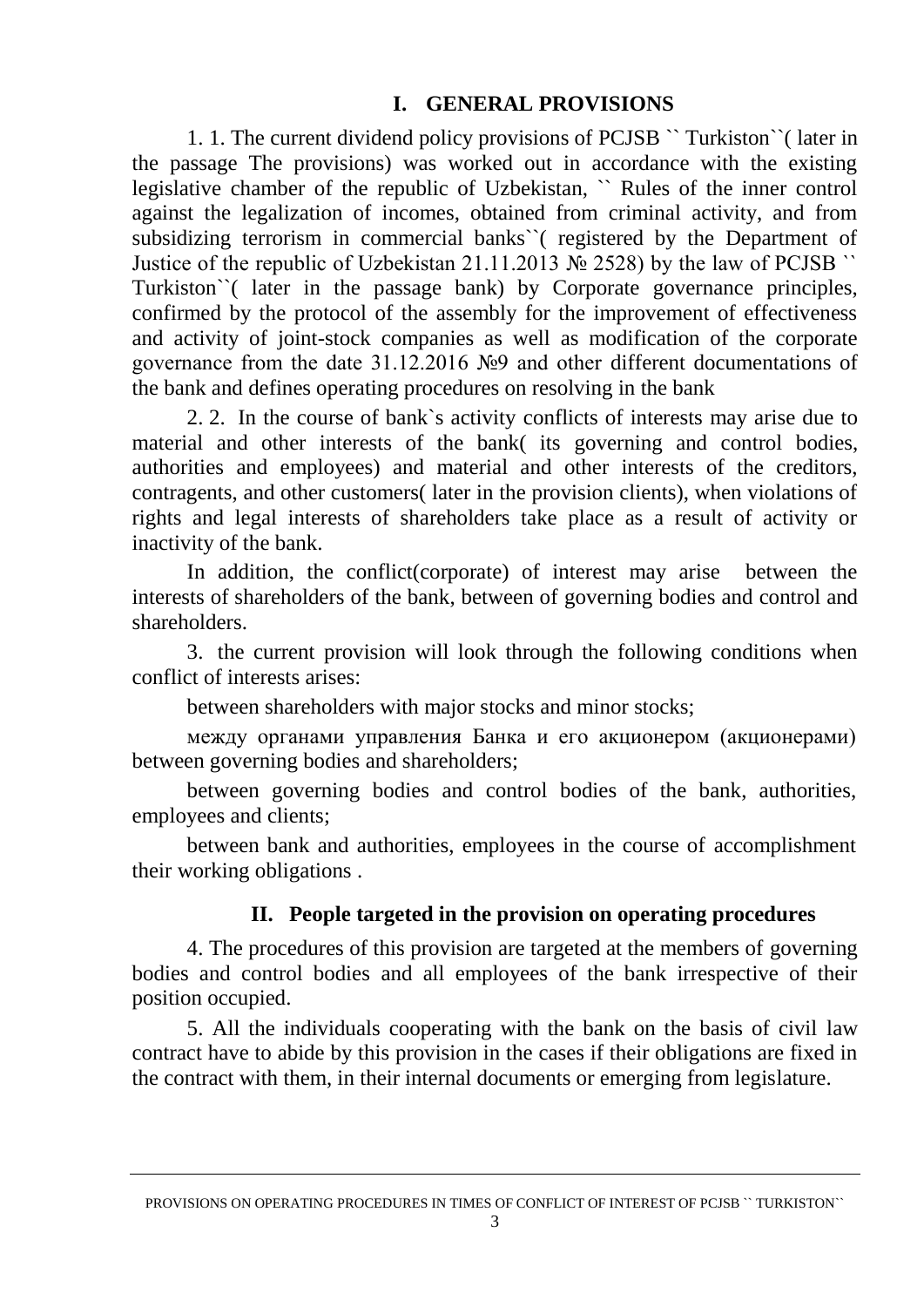#### **I. GENERAL PROVISIONS**

1. 1. The current dividend policy provisions of PCJSB `` Turkiston``( later in the passage The provisions) was worked out in accordance with the existing legislative chamber of the republic of Uzbekistan, `` Rules of the inner control against the legalization of incomes, obtained from criminal activity, and from subsidizing terrorism in commercial banks``( registered by the Department of Justice of the republic of Uzbekistan 21.11.2013 № 2528) by the law of PCJSB `` Turkiston``( later in the passage bank) by Corporate governance principles, confirmed by the protocol of the assembly for the improvement of effectiveness and activity of joint-stock companies as well as modification of the corporate governance from the date 31.12.2016 №9 and other different documentations of the bank and defines operating procedures on resolving in the bank

2. 2. In the course of bank`s activity conflicts of interests may arise due to material and other interests of the bank( its governing and control bodies, authorities and employees) and material and other interests of the creditors, contragents, and other customers( later in the provision clients), when violations of rights and legal interests of shareholders take place as a result of activity or inactivity of the bank.

In addition, the conflict(corporate) of interest may arise between the interests of shareholders of the bank, between of governing bodies and control and shareholders.

3. the current provision will look through the following conditions when conflict of interests arises:

between shareholders with major stocks and minor stocks:

между органами управления Банка и его акционером (акционерами) between governing bodies and shareholders;

between governing bodies and control bodies of the bank, authorities, employees and clients;

between bank and authorities, employees in the course of accomplishment their working obligations .

## **II. People targeted in the provision on operating procedures**

4. The procedures of this provision are targeted at the members of governing bodies and control bodies and all employees of the bank irrespective of their position occupied.

5. All the individuals cooperating with the bank on the basis of civil law contract have to abide by this provision in the cases if their obligations are fixed in the contract with them, in their internal documents or emerging from legislature.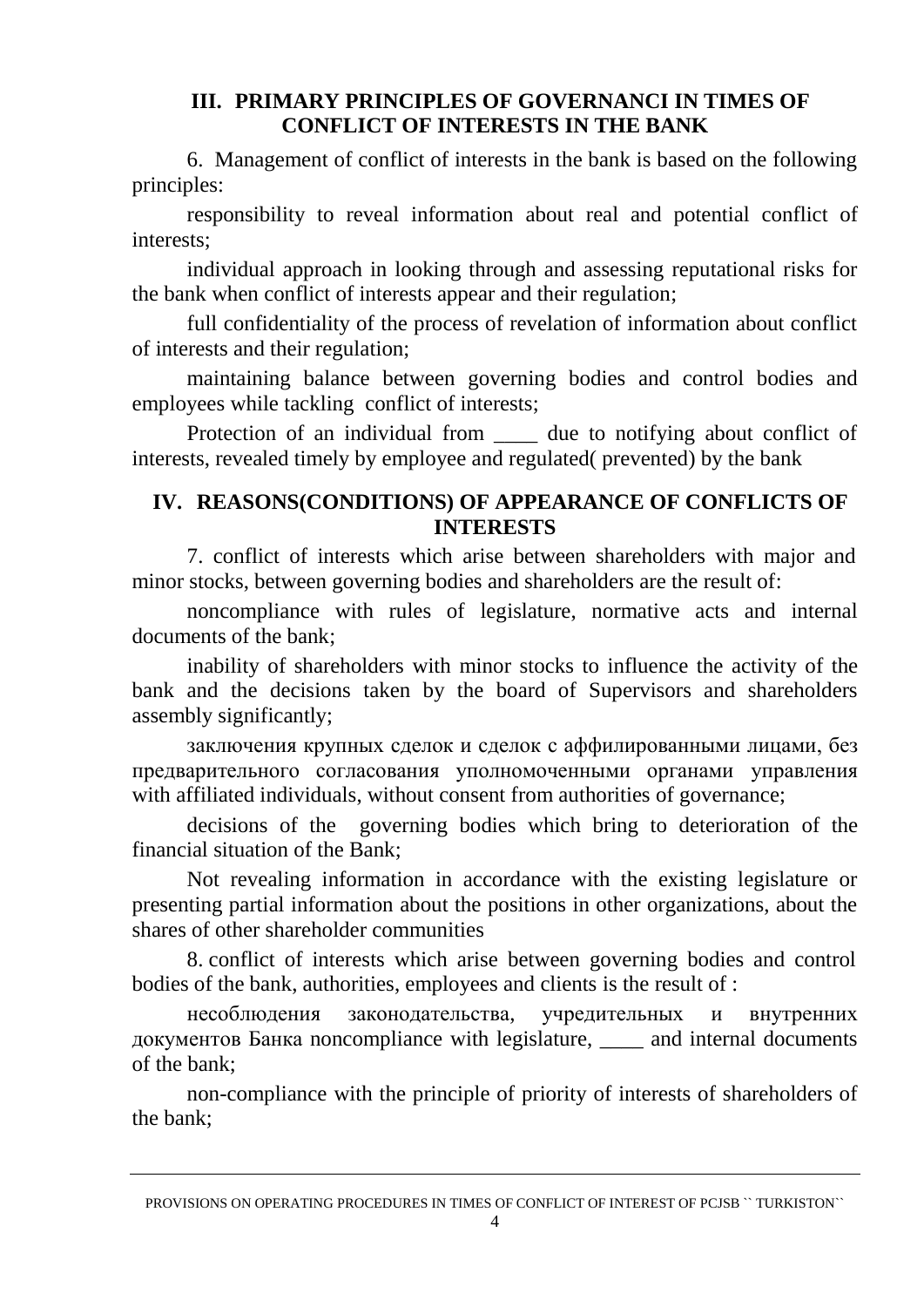## **III. PRIMARY PRINCIPLES OF GOVERNANCI IN TIMES OF CONFLICT OF INTERESTS IN THE BANK**

6. Management of conflict of interests in the bank is based on the following principles:

responsibility to reveal information about real and potential conflict of interests;

individual approach in looking through and assessing reputational risks for the bank when conflict of interests appear and their regulation;

full confidentiality of the process of revelation of information about conflict of interests and their regulation;

maintaining balance between governing bodies and control bodies and employees while tackling conflict of interests;

Protection of an individual from the due to notifying about conflict of interests, revealed timely by employee and regulated( prevented) by the bank

#### **IV. REASONS(CONDITIONS) OF APPEARANCE OF CONFLICTS OF INTERESTS**

7. conflict of interests which arise between shareholders with major and minor stocks, between governing bodies and shareholders are the result of:

noncompliance with rules of legislature, normative acts and internal documents of the bank;

inability of shareholders with minor stocks to influence the activity of the bank and the decisions taken by the board of Supervisors and shareholders assembly significantly;

заключения крупных сделок и сделок с аффилированными лицами, без предварительного согласования уполномоченными органами управления with affiliated individuals, without consent from authorities of governance:

decisions of the governing bodies which bring to deterioration of the financial situation of the Bank;

Not revealing information in accordance with the existing legislature or presenting partial information about the positions in other organizations, about the shares of other shareholder communities

8. conflict of interests which arise between governing bodies and control bodies of the bank, authorities, employees and clients is the result of :

несоблюдения законодательства, учредительных и внутренних документов Банка noncompliance with legislature, \_\_\_\_ and internal documents of the bank;

non-compliance with the principle of priority of interests of shareholders of the bank;

PROVISIONS ON OPERATING PROCEDURES IN TIMES OF CONFLICT OF INTEREST OF PCJSB `` TURKISTON``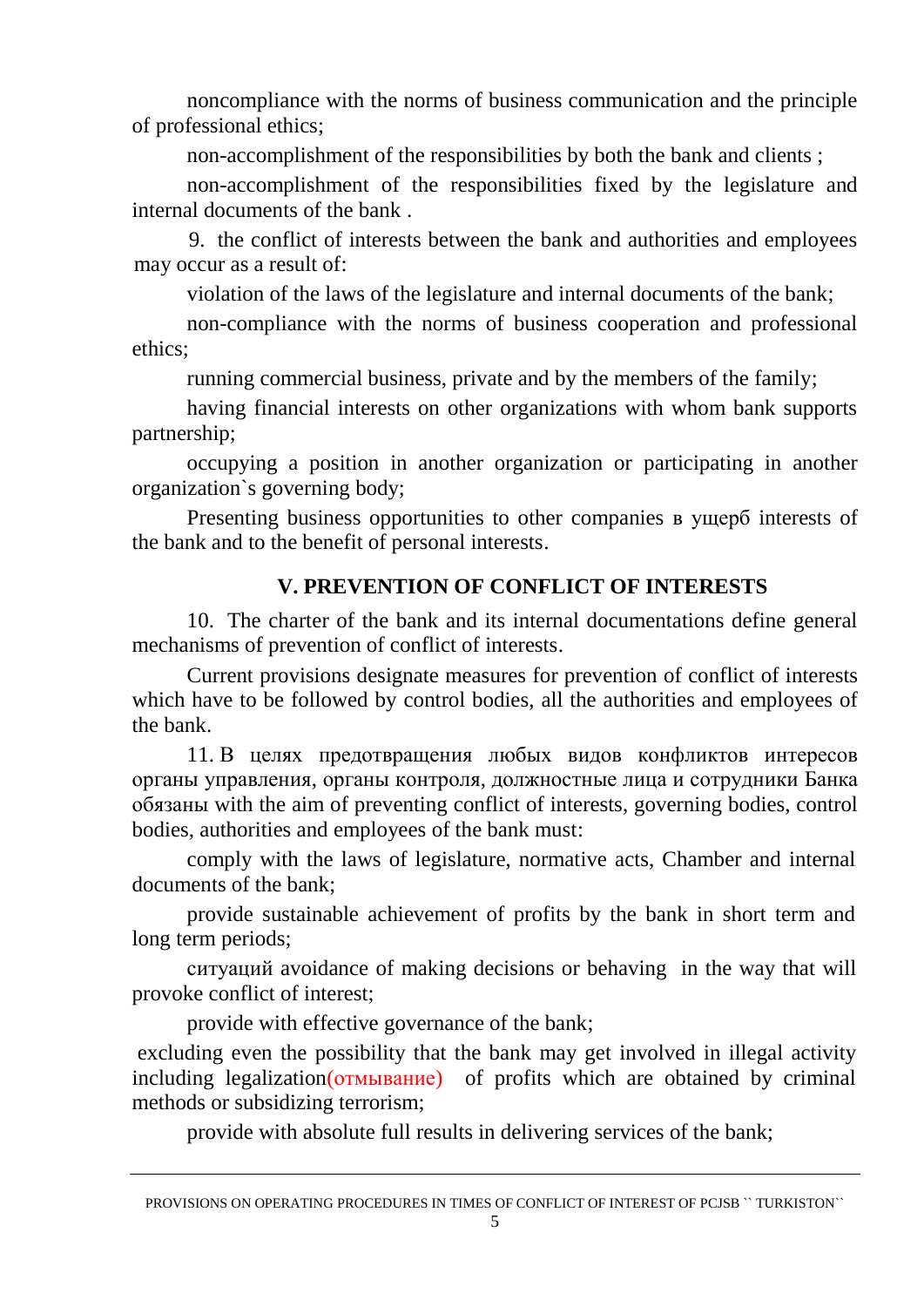noncompliance with the norms of business communication and the principle of professional ethics;

non-accomplishment of the responsibilities by both the bank and clients ;

non-accomplishment of the responsibilities fixed by the legislature and internal documents of the bank .

9. the conflict of interests between the bank and authorities and employees may occur as a result of:

violation of the laws of the legislature and internal documents of the bank;

non-compliance with the norms of business cooperation and professional ethics;

running commercial business, private and by the members of the family;

having financial interests on other organizations with whom bank supports partnership;

occupying a position in another organization or participating in another organization`s governing body;

<span id="page-4-0"></span>Presenting business opportunities to other companies в ущерб interests of the bank and to the benefit of personal interests.

## **V. PREVENTION OF CONFLICT OF INTERESTS**

10. The charter of the bank and its internal documentations define general mechanisms of prevention of conflict of interests.

Current provisions designate measures for prevention of conflict of interests which have to be followed by control bodies, all the authorities and employees of the bank.

11. В целях предотвращения любых видов конфликтов интересов органы управления, органы контроля, должностные лица и сотрудники Банка обязаны with the aim of preventing conflict of interests, governing bodies, control bodies, authorities and employees of the bank must:

comply with the laws of legislature, normative acts, Chamber and internal documents of the bank;

provide sustainable achievement of profits by the bank in short term and long term periods;

ситуаций avoidance of making decisions or behaving in the way that will provoke conflict of interest;

provide with effective governance of the bank;

excluding even the possibility that the bank may get involved in illegal activity including legalization(отмывание) of profits which are obtained by criminal methods or subsidizing terrorism;

provide with absolute full results in delivering services of the bank;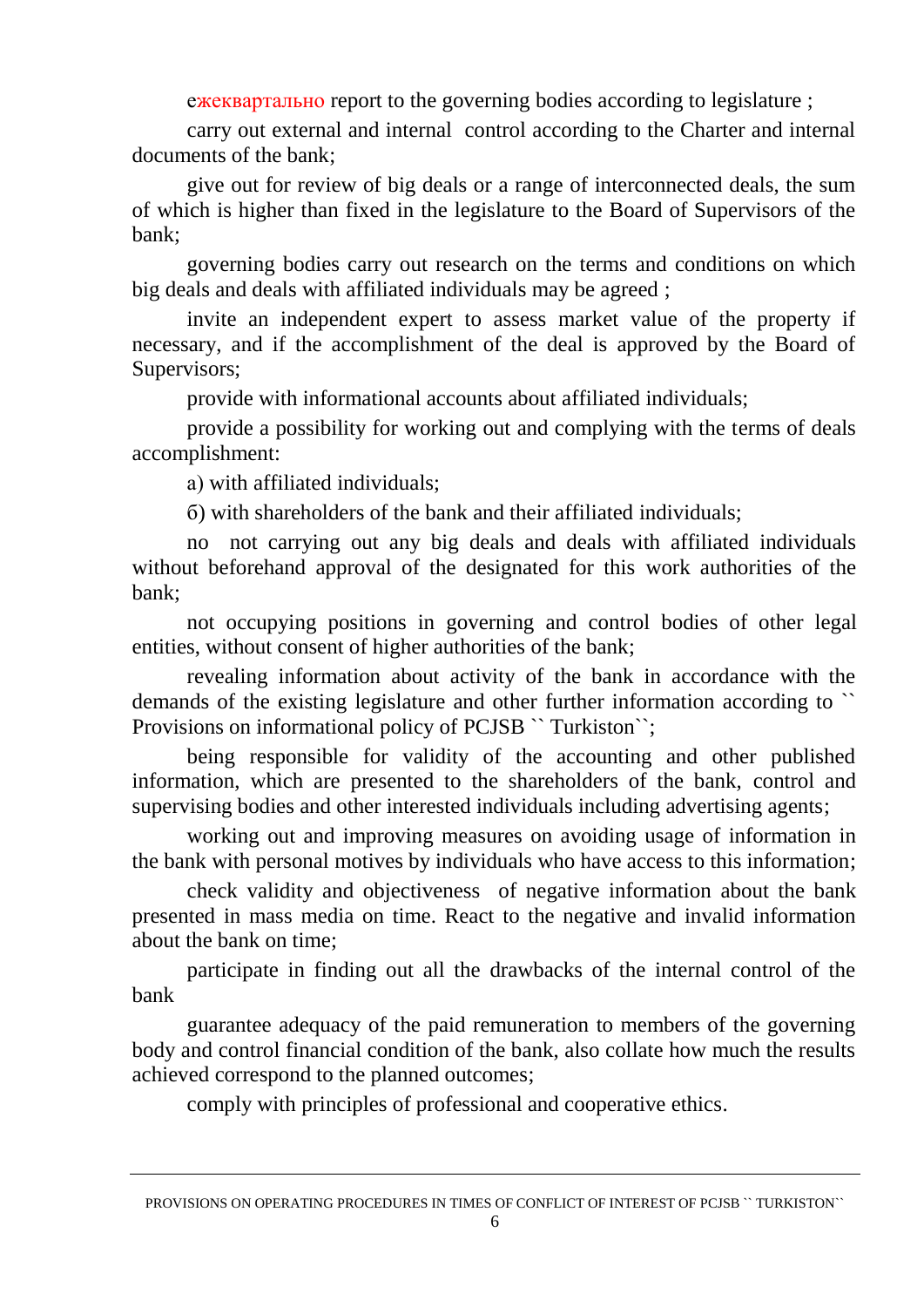ежеквартально report to the governing bodies according to legislature ;

carry out external and internal control according to the Charter and internal documents of the bank;

give out for review of big deals or a range of interconnected deals, the sum of which is higher than fixed in the legislature to the Board of Supervisors of the bank;

governing bodies carry out research on the terms and conditions on which big deals and deals with affiliated individuals may be agreed ;

invite an independent expert to assess market value of the property if necessary, and if the accomplishment of the deal is approved by the Board of Supervisors;

provide with informational accounts about affiliated individuals;

provide a possibility for working out and complying with the terms of deals accomplishment:

а) with affiliated individuals;

б) with shareholders of the bank and their affiliated individuals;

no not carrying out any big deals and deals with affiliated individuals without beforehand approval of the designated for this work authorities of the bank;

not occupying positions in governing and control bodies of other legal entities, without consent of higher authorities of the bank;

revealing information about activity of the bank in accordance with the demands of the existing legislature and other further information according to `` Provisions on informational policy of PCJSB `` Turkiston``;

being responsible for validity of the accounting and other published information, which are presented to the shareholders of the bank, control and supervising bodies and other interested individuals including advertising agents;

working out and improving measures on avoiding usage of information in the bank with personal motives by individuals who have access to this information;

check validity and objectiveness of negative information about the bank presented in mass media on time. React to the negative and invalid information about the bank on time;

participate in finding out all the drawbacks of the internal control of the bank

guarantee adequacy of the paid remuneration to members of the governing body and control financial condition of the bank, also collate how much the results achieved correspond to the planned outcomes;

comply with principles of professional and cooperative ethics.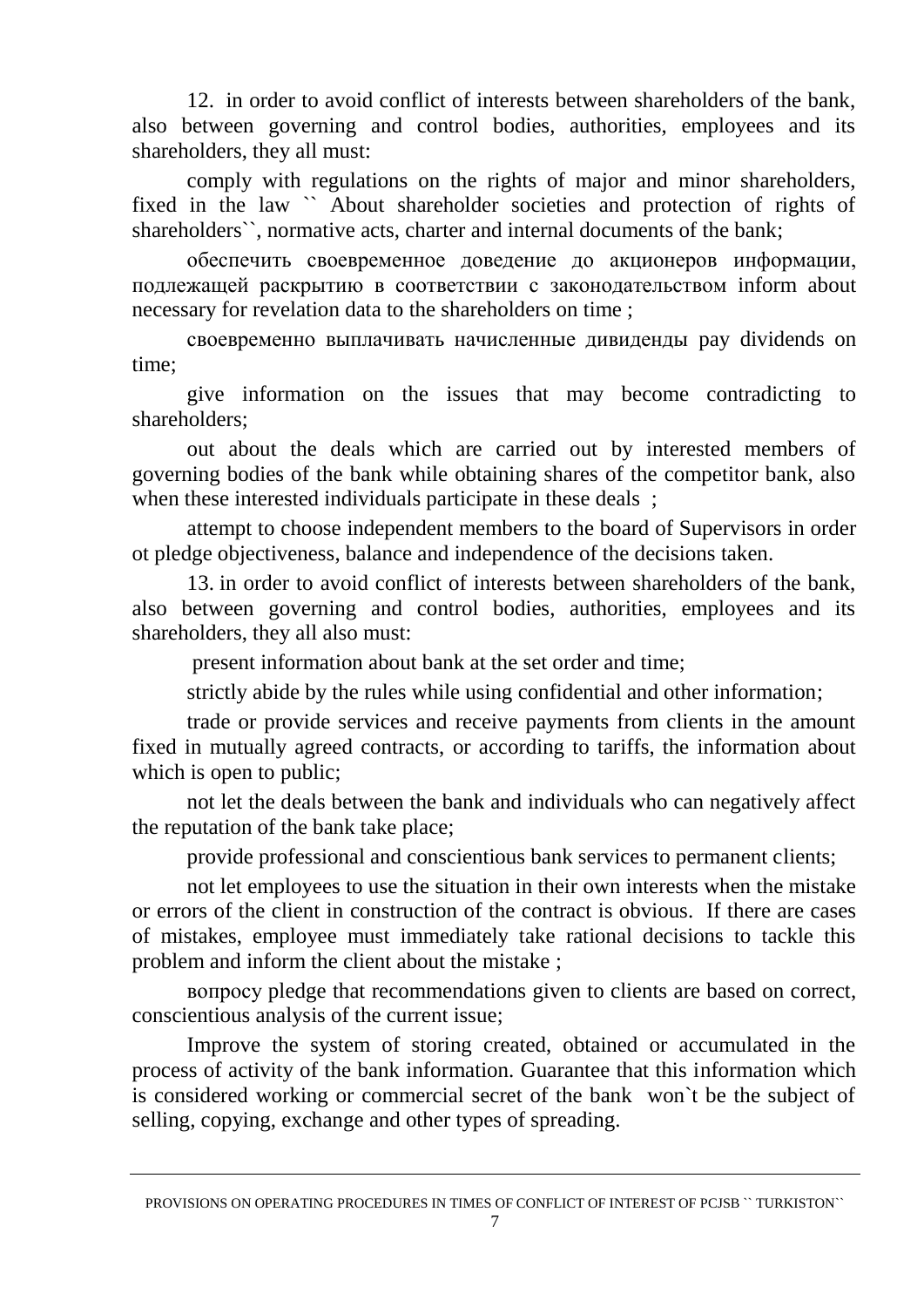12. in order to avoid conflict of interests between shareholders of the bank, also between governing and control bodies, authorities, employees and its shareholders, they all must:

comply with regulations on the rights of major and minor shareholders, fixed in the law `` About shareholder societies and protection of rights of shareholders", normative acts, charter and internal documents of the bank;

обеспечить своевременное доведение до акционеров информации, подлежащей раскрытию в соответствии с законодательством inform about necessary for revelation data to the shareholders on time ;

своевременно выплачивать начисленные дивиденды pay dividends on time;

give information on the issues that may become contradicting to shareholders;

out about the deals which are carried out by interested members of governing bodies of the bank while obtaining shares of the competitor bank, also when these interested individuals participate in these deals ;

attempt to choose independent members to the board of Supervisors in order ot pledge objectiveness, balance and independence of the decisions taken.

13. in order to avoid conflict of interests between shareholders of the bank, also between governing and control bodies, authorities, employees and its shareholders, they all also must:

present information about bank at the set order and time;

strictly abide by the rules while using confidential and other information;

trade or provide services and receive payments from clients in the amount fixed in mutually agreed contracts, or according to tariffs, the information about which is open to public;

not let the deals between the bank and individuals who can negatively affect the reputation of the bank take place;

provide professional and conscientious bank services to permanent clients;

not let employees to use the situation in their own interests when the mistake or errors of the client in construction of the contract is obvious. If there are cases of mistakes, employee must immediately take rational decisions to tackle this problem and inform the client about the mistake ;

вопросу pledge that recommendations given to clients are based on correct, conscientious analysis of the current issue;

Improve the system of storing created, obtained or accumulated in the process of activity of the bank information. Guarantee that this information which is considered working or commercial secret of the bank won`t be the subject of selling, copying, exchange and other types of spreading.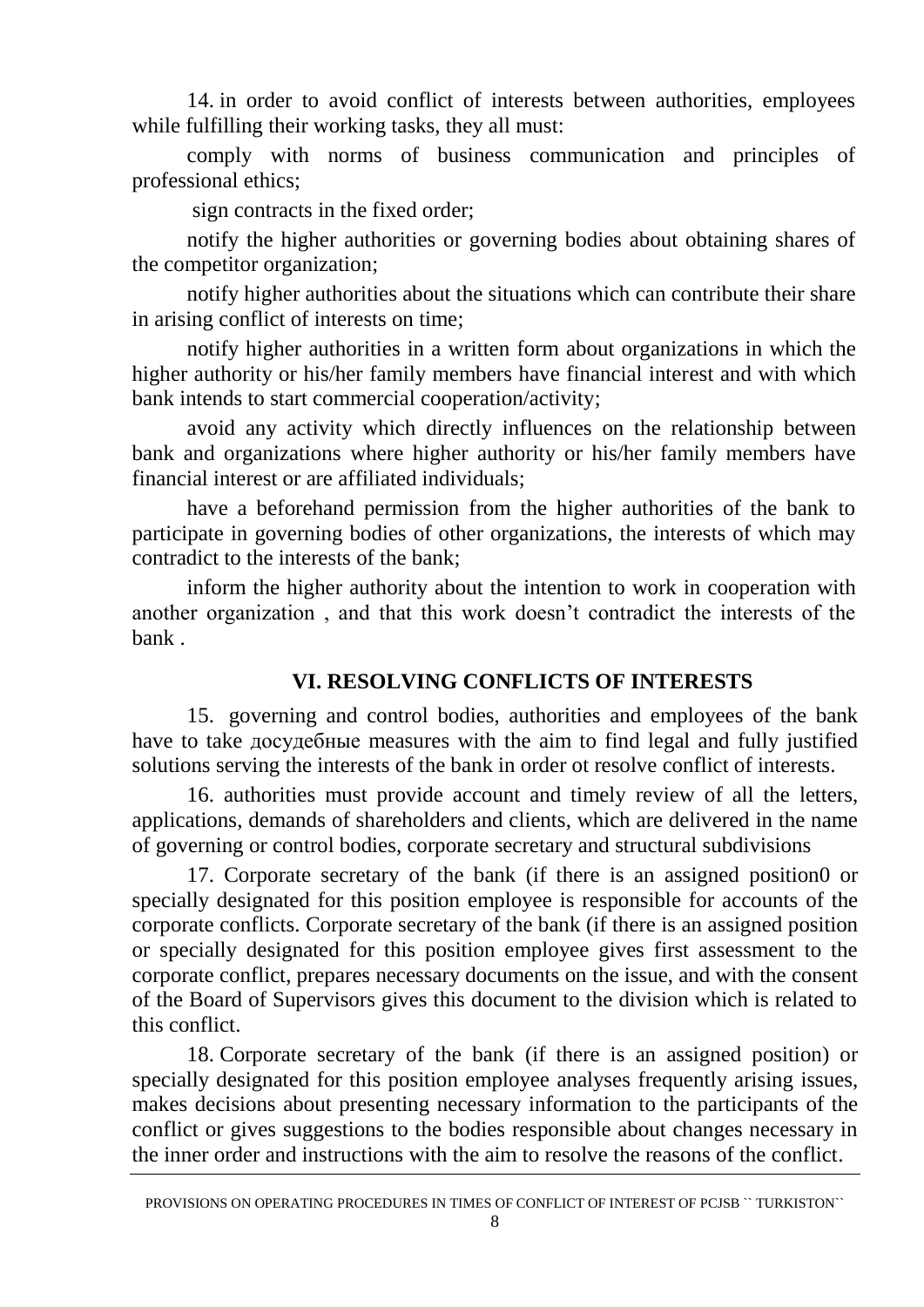14. in order to avoid conflict of interests between authorities, employees while fulfilling their working tasks, they all must:

comply with norms of business communication and principles of professional ethics;

sign contracts in the fixed order;

notify the higher authorities or governing bodies about obtaining shares of the competitor organization;

notify higher authorities about the situations which can contribute their share in arising conflict of interests on time;

notify higher authorities in a written form about organizations in which the higher authority or his/her family members have financial interest and with which bank intends to start commercial cooperation/activity;

avoid any activity which directly influences on the relationship between bank and organizations where higher authority or his/her family members have financial interest or are affiliated individuals;

have a beforehand permission from the higher authorities of the bank to participate in governing bodies of other organizations, the interests of which may contradict to the interests of the bank;

inform the higher authority about the intention to work in cooperation with another organization , and that this work doesn't contradict the interests of the bank .

## **VI. RESOLVING CONFLICTS OF INTERESTS**

15. governing and control bodies, authorities and employees of the bank have to take досудебные measures with the aim to find legal and fully justified solutions serving the interests of the bank in order ot resolve conflict of interests.

16. authorities must provide account and timely review of all the letters, applications, demands of shareholders and clients, which are delivered in the name of governing or control bodies, corporate secretary and structural subdivisions

17. Corporate secretary of the bank (if there is an assigned position0 or specially designated for this position employee is responsible for accounts of the corporate conflicts. Corporate secretary of the bank (if there is an assigned position or specially designated for this position employee gives first assessment to the corporate conflict, prepares necessary documents on the issue, and with the consent of the Board of Supervisors gives this document to the division which is related to this conflict.

18. Corporate secretary of the bank (if there is an assigned position) or specially designated for this position employee analyses frequently arising issues, makes decisions about presenting necessary information to the participants of the conflict or gives suggestions to the bodies responsible about changes necessary in the inner order and instructions with the aim to resolve the reasons of the conflict.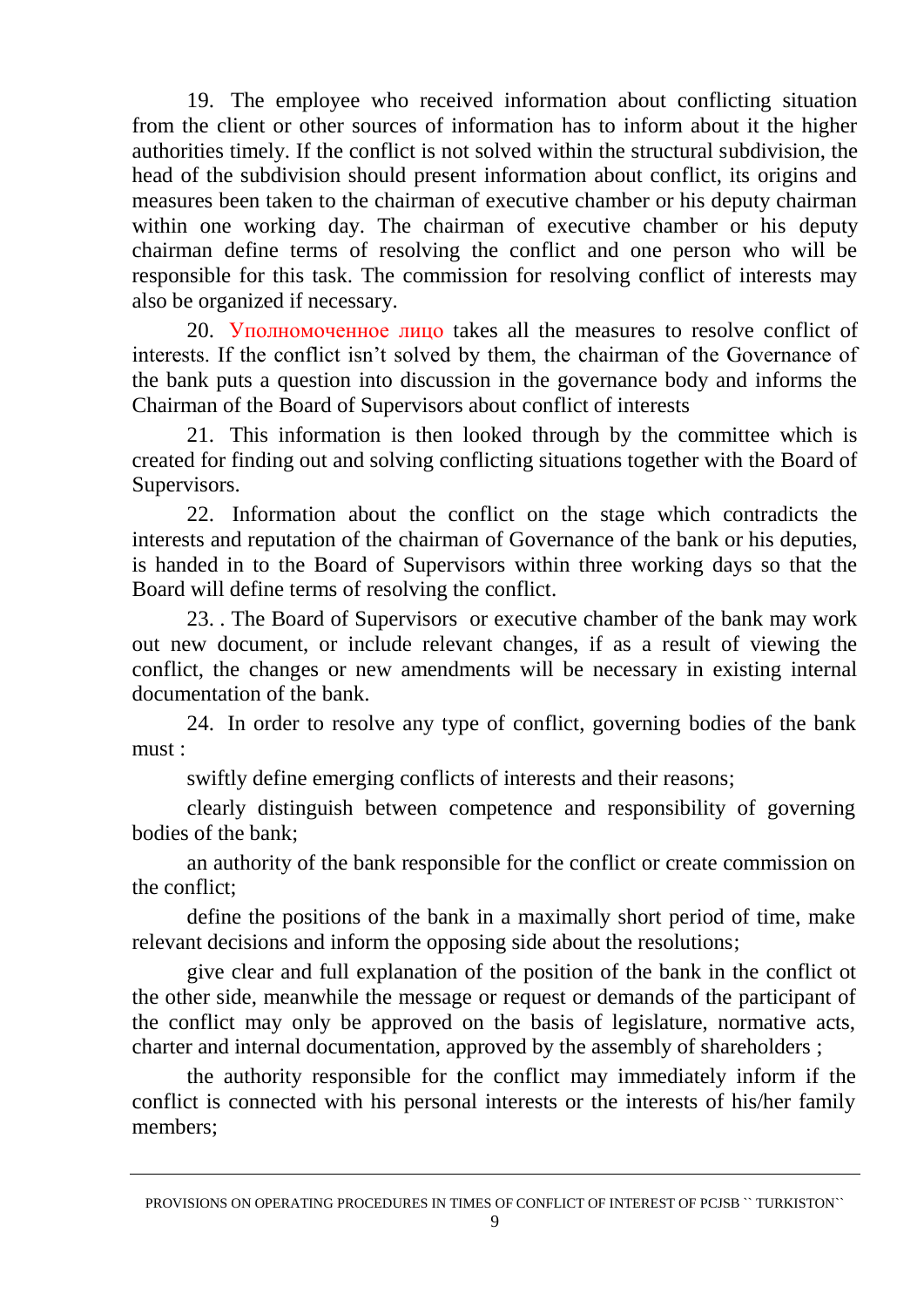19. The employee who received information about conflicting situation from the client or other sources of information has to inform about it the higher authorities timely. If the conflict is not solved within the structural subdivision, the head of the subdivision should present information about conflict, its origins and measures been taken to the chairman of executive chamber or his deputy chairman within one working day. The chairman of executive chamber or his deputy chairman define terms of resolving the conflict and one person who will be responsible for this task. The commission for resolving conflict of interests may also be organized if necessary.

20. Уполномоченное лицо takes all the measures to resolve conflict of interests. If the conflict isn't solved by them, the chairman of the Governance of the bank puts a question into discussion in the governance body and informs the Chairman of the Board of Supervisors about conflict of interests

21. This information is then looked through by the committee which is created for finding out and solving conflicting situations together with the Board of Supervisors.

22. Information about the conflict on the stage which contradicts the interests and reputation of the chairman of Governance of the bank or his deputies, is handed in to the Board of Supervisors within three working days so that the Board will define terms of resolving the conflict.

23. . The Board of Supervisors or executive chamber of the bank may work out new document, or include relevant changes, if as a result of viewing the conflict, the changes or new amendments will be necessary in existing internal documentation of the bank.

24. In order to resolve any type of conflict, governing bodies of the bank must :

swiftly define emerging conflicts of interests and their reasons;

clearly distinguish between competence and responsibility of governing bodies of the bank;

an authority of the bank responsible for the conflict or create commission on the conflict;

define the positions of the bank in a maximally short period of time, make relevant decisions and inform the opposing side about the resolutions;

give clear and full explanation of the position of the bank in the conflict ot the other side, meanwhile the message or request or demands of the participant of the conflict may only be approved on the basis of legislature, normative acts, charter and internal documentation, approved by the assembly of shareholders ;

the authority responsible for the conflict may immediately inform if the conflict is connected with his personal interests or the interests of his/her family members;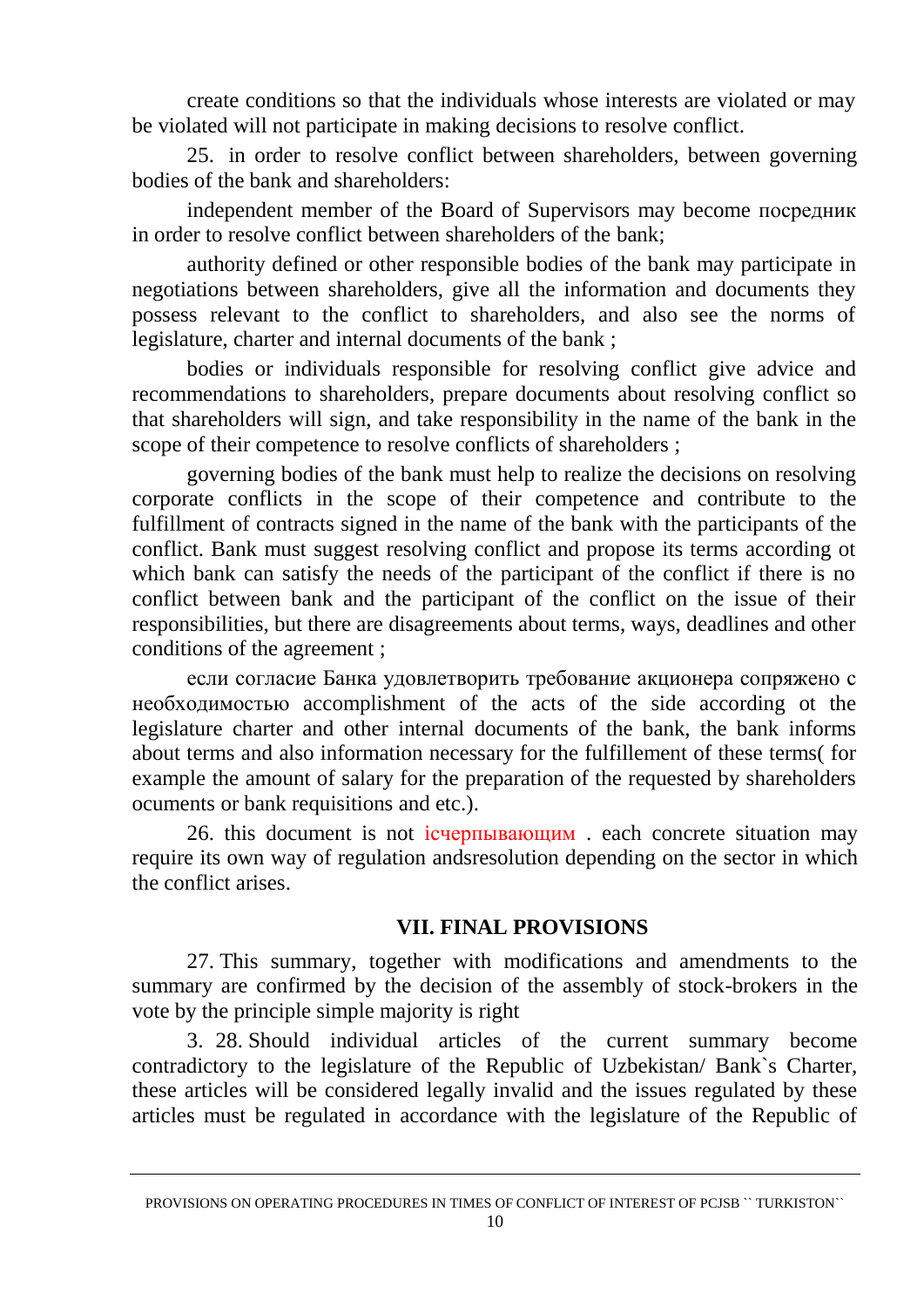create conditions so that the individuals whose interests are violated or may be violated will not participate in making decisions to resolve conflict.

25. in order to resolve conflict between shareholders, between governing bodies of the bank and shareholders:

independent member of the Board of Supervisors may become посредник in order to resolve conflict between shareholders of the bank;

authority defined or other responsible bodies of the bank may participate in negotiations between shareholders, give all the information and documents they possess relevant to the conflict to shareholders, and also see the norms of legislature, charter and internal documents of the bank ;

bodies or individuals responsible for resolving conflict give advice and recommendations to shareholders, prepare documents about resolving conflict so that shareholders will sign, and take responsibility in the name of the bank in the scope of their competence to resolve conflicts of shareholders ;

governing bodies of the bank must help to realize the decisions on resolving corporate conflicts in the scope of their competence and contribute to the fulfillment of contracts signed in the name of the bank with the participants of the conflict. Bank must suggest resolving conflict and propose its terms according ot which bank can satisfy the needs of the participant of the conflict if there is no conflict between bank and the participant of the conflict on the issue of their responsibilities, but there are disagreements about terms, ways, deadlines and other conditions of the agreement ;

если согласие Банка удовлетворить требование акционера сопряжено с необходимостью accomplishment of the acts of the side according ot the legislature charter and other internal documents of the bank, the bank informs about terms and also information necessary for the fulfillement of these terms( for example the amount of salary for the preparation of the requested by shareholders ocuments or bank requisitions and etc.).

26. this document is not iсчерпывающим . each concrete situation may require its own way of regulation and resolution depending on the sector in which the conflict arises.

#### **VII. FINAL PROVISIONS**

<span id="page-9-0"></span>27. This summary, together with modifications and amendments to the summary are confirmed by the decision of the assembly of stock-brokers in the vote by the principle simple majority is right

3. 28. Should individual articles of the current summary become contradictory to the legislature of the Republic of Uzbekistan/ Bank`s Charter, these articles will be considered legally invalid and the issues regulated by these articles must be regulated in accordance with the legislature of the Republic of

PROVISIONS ON OPERATING PROCEDURES IN TIMES OF CONFLICT OF INTEREST OF PCJSB `` TURKISTON``